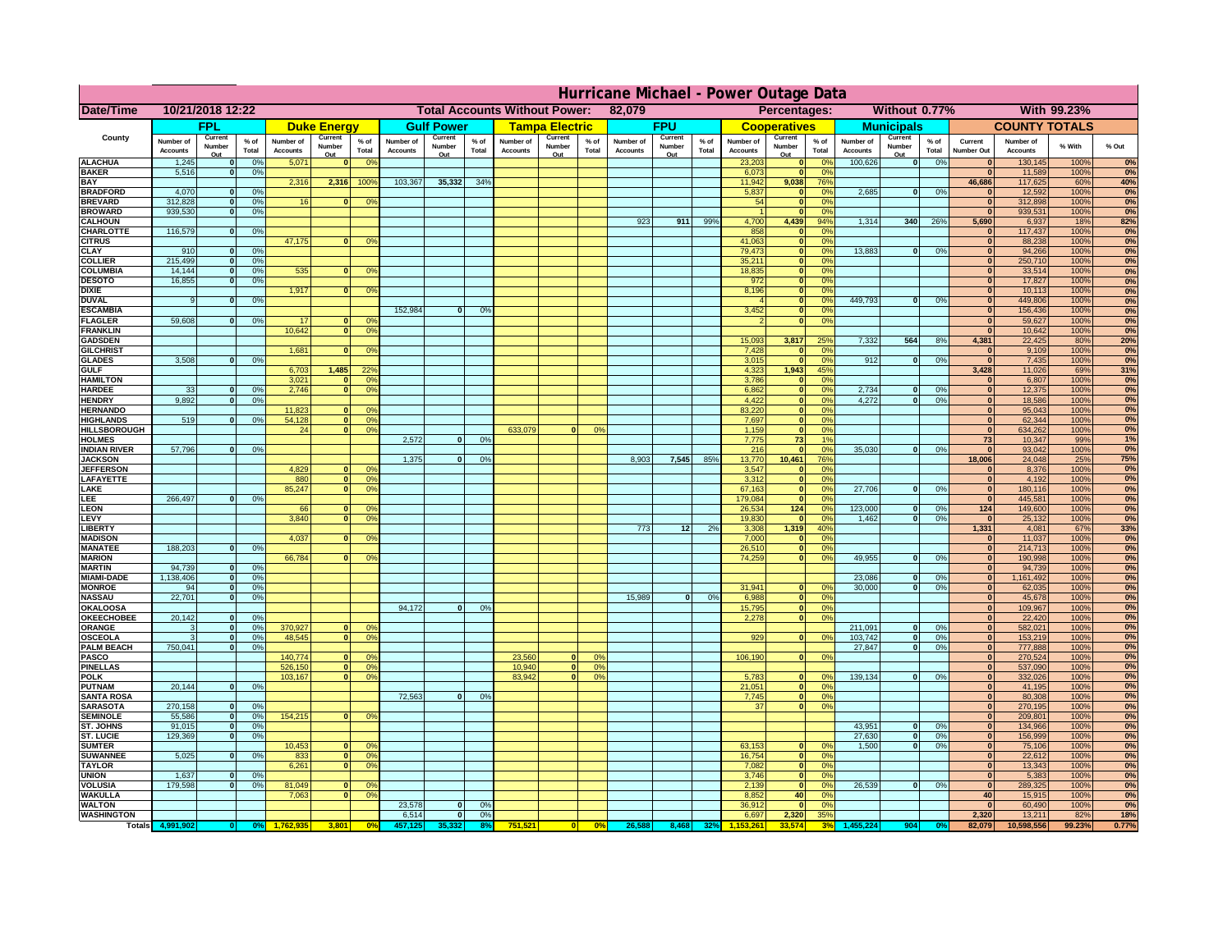|                                      | Hurricane Michael - Power Outage Data |                             |                      |                              |                                                |                                  |                              |                   |                |                                                     |                       |                  |                       |                   |                 |                              |                     |                       |                              |                          |                 |                              |                              |              |           |
|--------------------------------------|---------------------------------------|-----------------------------|----------------------|------------------------------|------------------------------------------------|----------------------------------|------------------------------|-------------------|----------------|-----------------------------------------------------|-----------------------|------------------|-----------------------|-------------------|-----------------|------------------------------|---------------------|-----------------------|------------------------------|--------------------------|-----------------|------------------------------|------------------------------|--------------|-----------|
| Date/Time                            | 10/21/2018 12:22                      |                             |                      |                              | <b>Total Accounts Without Power:</b><br>82,079 |                                  |                              |                   |                | Without 0.77%<br><b>With 99.23%</b><br>Percentages: |                       |                  |                       |                   |                 |                              |                     |                       |                              |                          |                 |                              |                              |              |           |
|                                      |                                       | FPL                         |                      |                              | <b>Duke Energy</b>                             |                                  |                              | <b>Gulf Power</b> |                |                                                     | <b>Tampa Electric</b> |                  |                       | <b>FPU</b>        |                 |                              | <b>Cooperatives</b> |                       |                              | <b>Municipals</b>        |                 |                              | <b>COUNTY TOTALS</b>         |              |           |
| County                               | Number of<br><b>Accounts</b>          | Current<br>Number           | $%$ of<br>Total      | Number of<br><b>Accounts</b> | Current<br>Number                              | $%$ of<br>Total                  | Number of<br><b>Accounts</b> | Current<br>Number | % of<br>Total  | Number of<br><b>Accounts</b>                        | Current<br>Number     | $%$ of<br>Total  | Number of<br>Accounts | Current<br>Number | $%$ of<br>Total | Number of<br><b>Accounts</b> | Current<br>Number   | $%$ of<br>Total       | Number of<br><b>Accounts</b> | Current<br>Number        | $%$ of<br>Total | Current<br><b>Number Out</b> | Number of<br><b>Accounts</b> | % With       | % Out     |
| <b>ALACHUA</b>                       | 1,245                                 | Out<br>$\mathbf{0}$         | 0%                   | 5,071                        | Out<br>$\mathbf{0}$                            | 0 <sup>9</sup>                   |                              | Out               |                |                                                     | Out                   |                  |                       | Out               |                 | 23,203                       | Out<br> 0           | 0 <sup>9</sup>        | 100,626                      | Out<br> 0                | 0%              | $\bf{0}$                     | 130,145                      | 100%         | 0%        |
| <b>BAKER</b>                         | 5,516                                 | 0                           | 0%                   |                              |                                                |                                  |                              |                   |                |                                                     |                       |                  |                       |                   |                 | 6,073                        | 0                   | 0%                    |                              |                          |                 | $\bf{0}$                     | 11,589                       | 100%         | 0%        |
| <b>BAY</b><br><b>BRADFORD</b>        | 4,070                                 | $\mathbf{0}$                | 0%                   | 2,316                        | 2,316                                          | 100%                             | 103,367                      | 35,332            | 34%            |                                                     |                       |                  |                       |                   |                 | 11,942<br>5,837              | 9,038               | 76%<br>0%             | 2,685                        | 0                        | 0%              | 46,686<br>$\bf{0}$           | 117,625<br>12,592            | 60%<br>100%  | 40%<br>0% |
| <b>BREVARD</b>                       | 312,828                               | 0                           | 0%                   | 16                           | $\mathbf{0}$                                   | 0 <sup>o</sup>                   |                              |                   |                |                                                     |                       |                  |                       |                   |                 | 54                           | 0 <br> 0            | 0%                    |                              |                          |                 | $\mathbf{0}$                 | 312,898                      | 100%         | 0%        |
| <b>BROWARD</b>                       | 939.530                               | 0                           | 0%                   |                              |                                                |                                  |                              |                   |                |                                                     |                       |                  |                       |                   |                 |                              | 0                   | 0%                    |                              |                          |                 | $\bf{0}$                     | 939,531                      | 100%         | 0%        |
| <b>CALHOUN</b><br>CHARLOTTE          | 116,579                               | 0                           | 0%                   |                              |                                                |                                  |                              |                   |                |                                                     |                       |                  | 923                   | 911               | 99%             | 4,700<br>858                 | 4,439<br> 0         | 94%<br>0 <sup>9</sup> | 1,314                        | 340                      | 26%             | 5,690<br>$\bf{0}$            | 6,937<br>117,437             | 18%<br>100%  | 82%<br>0% |
| <b>CITRUS</b>                        |                                       |                             |                      | 47,175                       | $\mathbf{0}$                                   | 0 <sup>o</sup>                   |                              |                   |                |                                                     |                       |                  |                       |                   |                 | 41,063                       | 0                   | 0 <sup>9</sup>        |                              |                          |                 | $\bf{0}$                     | 88,238                       | 100%         | 0%        |
| <b>CLAY</b>                          | 910                                   | $\mathbf{0}$                | 0%                   |                              |                                                |                                  |                              |                   |                |                                                     |                       |                  |                       |                   |                 | 79,473                       | 0                   | 0%                    | 13,883                       | $\mathbf{0}$             | 0%              | $\bf{0}$                     | 94,266                       | 100%         | 0%        |
| <b>COLLIER</b><br><b>COLUMBIA</b>    | 215,499<br>14,144                     | $\mathbf{0}$<br>$\mathbf 0$ | 0 <sup>9</sup><br>0% | 535                          | $\mathbf{0}$                                   | 0 <sup>9</sup>                   |                              |                   |                |                                                     |                       |                  |                       |                   |                 | 35,211<br>18,835             | 0 <br> 0            | 0%<br>0%              |                              |                          |                 | $\bf{0}$<br>$\bf{0}$         | 250,710<br>33,514            | 100%<br>100% | 0%<br>0%  |
| <b>DESOTO</b>                        | 16,855                                | $\mathbf{0}$                | 0%                   |                              |                                                |                                  |                              |                   |                |                                                     |                       |                  |                       |                   |                 | 972                          | 0                   | 0%                    |                              |                          |                 | $\bf{0}$                     | 17,827                       | 100%         | 0%        |
| <b>DIXIE</b>                         |                                       |                             |                      | 1,917                        | $\Omega$                                       | 0 <sup>9</sup>                   |                              |                   |                |                                                     |                       |                  |                       |                   |                 | 8,196                        | 0                   | 0%                    |                              |                          |                 | $\Omega$                     | 10,113                       | 100%         | 0%        |
| <b>DUVAL</b>                         | 9                                     | $\Omega$                    | 0%                   |                              |                                                |                                  | 152,984                      |                   |                |                                                     |                       |                  |                       |                   |                 |                              | 0                   | 0%                    | 449.793                      | $\overline{0}$           | 0%              | $\Omega$<br>$\Omega$         | 449,806                      | 100%         | 0%        |
| <b>ESCAMBIA</b><br><b>FLAGLER</b>    | 59,608                                | $\overline{0}$              | 0%                   | 17                           | $\bf{0}$                                       | 0 <sup>o</sup>                   |                              | $\mathbf{0}$      | 0 <sup>o</sup> |                                                     |                       |                  |                       |                   |                 | 3,452                        | 0 <br> 0            | 0%<br>0%              |                              |                          |                 | $\mathbf{0}$                 | 156,436<br>59,627            | 100%<br>100% | 0%<br>0%  |
| <b>FRANKLIN</b>                      |                                       |                             |                      | 10,642                       | 0                                              | 0 <sup>9</sup>                   |                              |                   |                |                                                     |                       |                  |                       |                   |                 |                              |                     |                       |                              |                          |                 | $\Omega$                     | 10,642                       | 100%         | 0%        |
| <b>GADSDEN</b>                       |                                       |                             |                      |                              |                                                |                                  |                              |                   |                |                                                     |                       |                  |                       |                   |                 | 15,093                       | 3,817               | 25%                   | 7,332                        | 564                      | 8%              | 4,381                        | 22,425                       | 80%          | 20%       |
| <b>GILCHRIST</b><br><b>GLADES</b>    | 3,508                                 | 0                           | 0%                   | 1,681                        | $\mathbf{0}$                                   | 0 <sup>9</sup>                   |                              |                   |                |                                                     |                       |                  |                       |                   |                 | 7,428<br>3,015               | 0 <br> 0            | 0%<br>0%              | 912                          | $\overline{0}$           | 0%              | $\mathbf{0}$<br> 0           | 9,109<br>7,435               | 100%<br>100% | 0%<br>0%  |
| <b>GULF</b>                          |                                       |                             |                      | 6,703                        | 1,485                                          | 22 <sup>o</sup>                  |                              |                   |                |                                                     |                       |                  |                       |                   |                 | 4,323                        | 1,943               | 45%                   |                              |                          |                 | 3,428                        | 11,026                       | 69%          | 31%       |
| <b>HAMILTON</b>                      |                                       |                             |                      | 3,021                        | $\Omega$                                       | 0 <sup>9</sup>                   |                              |                   |                |                                                     |                       |                  |                       |                   |                 | 3,786                        | 0                   | 0%                    |                              |                          |                 | $\Omega$                     | 6,807                        | 100%         | 0%        |
| <b>HARDEE</b>                        | 33                                    | $\overline{0}$<br>$\Omega$  | 0%                   | 2.746                        | $\overline{0}$                                 | 0 <sup>9</sup>                   |                              |                   |                |                                                     |                       |                  |                       |                   |                 | 6.862                        | $\overline{0}$      | 0%                    | 2.734                        | $\mathbf{0}$<br>$\Omega$ | 0%              | 0                            | 12,375                       | 100%         | 0%        |
| <b>HENDRY</b><br><b>HERNANDO</b>     | 9,892                                 |                             | 0%                   | 11,823                       | $\mathbf{0}$                                   | 0 <sup>9</sup>                   |                              |                   |                |                                                     |                       |                  |                       |                   |                 | 4,422<br>83,220              | 0 <br> 0            | 0%<br>0%              | 4,272                        |                          | 0%              | 0 <br> 0                     | 18,586<br>95,043             | 100%<br>100% | 0%<br>0%  |
| <b>HIGHLANDS</b>                     | 519                                   | $\mathbf{0}$                | 0 <sup>9</sup>       | 54,128                       | 0                                              | 0 <sup>9</sup>                   |                              |                   |                |                                                     |                       |                  |                       |                   |                 | 7,697                        | 0                   | 0%                    |                              |                          |                 | 0                            | 62,344                       | 100%         | 0%        |
| <b>HILLSBOROUGH</b>                  |                                       |                             |                      | 24                           | 0                                              | 0 <sup>9</sup>                   |                              |                   |                | 633,079                                             |                       | 0%               |                       |                   |                 | 1,159                        | 0                   | 0%                    |                              |                          |                 | 0                            | 634,262                      | 100%         | 0%        |
| <b>HOLMES</b><br><b>INDIAN RIVER</b> | 57,796                                | $\mathbf{0}$                | 0%                   |                              |                                                |                                  | 2.572                        | $\mathbf{0}$      | 0%             |                                                     |                       |                  |                       |                   |                 | 7.775<br>216                 | 73<br> 0            | 1%<br>0%              | 35,030                       | $\mathbf{0}$             | 0%              | 73<br>$\mathbf{0}$           | 10,347<br>93,042             | 99%<br>100%  | 1%<br>0%  |
| <b>JACKSON</b>                       |                                       |                             |                      |                              |                                                |                                  | 1.375                        | $\mathbf{0}$      | 0 <sup>9</sup> |                                                     |                       |                  | 8.903                 | 7.545             | 85%             | 13,770                       | 10.461              | 76%                   |                              |                          |                 | 18.006                       | 24,048                       | 25%          | 75%       |
| <b>JEFFERSON</b>                     |                                       |                             |                      | 4.829                        | n l                                            | 0 <sup>9</sup>                   |                              |                   |                |                                                     |                       |                  |                       |                   |                 | 3.547                        | 0                   | 0%                    |                              |                          |                 | $\mathbf{0}$                 | 8.376                        | 100%         | 0%        |
| LAFAYETTE                            |                                       |                             |                      | 880                          | 0                                              | 0 <sup>9</sup>                   |                              |                   |                |                                                     |                       |                  |                       |                   |                 | 3.312                        | 0                   | 0%                    |                              |                          |                 | 0                            | 4.192                        | 100%         | 0%        |
| LAKE<br>EE.                          | 266,497                               | 0                           | 0%                   | 85,247                       | $\mathbf{0}$                                   | 0 <sup>9</sup>                   |                              |                   |                |                                                     |                       |                  |                       |                   |                 | 67,163<br>179,084            | 0 <br> 0            | 0%<br>0%              | 27,706                       | $\Omega$                 | 0%              | 0 <br> 0                     | 180,116<br>445,581           | 100%<br>100% | 0%<br>0%  |
| LEON                                 |                                       |                             |                      | 66                           | $\mathbf{0}$                                   | 0 <sup>o</sup>                   |                              |                   |                |                                                     |                       |                  |                       |                   |                 | 26,534                       | 124                 | 0%                    | 123,000                      | $\mathbf{0}$             | 0%              | $124$                        | 149,600                      | 100%         | 0%        |
| LEVY                                 |                                       |                             |                      | 3,840                        | $\Omega$                                       | 0 <sup>9</sup>                   |                              |                   |                |                                                     |                       |                  |                       |                   |                 | 19,830                       | 0                   | 0%                    | 1,462                        | -ol                      | 0%              | 0                            | 25,132                       | 100%         | 0%        |
| LIBERTY<br><b>MADISON</b>            |                                       |                             |                      | 4,037                        | $\Omega$                                       | 0 <sup>9</sup>                   |                              |                   |                |                                                     |                       |                  | 773                   | 12                | 2%              | 3,308<br>7,000               | 1,319<br> 0         | 40%<br>0%             |                              |                          |                 | 1,331<br> 0                  | 4,081<br>11,037              | 67%<br>100%  | 33%<br>0% |
| <b>MANATEE</b>                       | 188,203                               | 0                           | 0%                   |                              |                                                |                                  |                              |                   |                |                                                     |                       |                  |                       |                   |                 | 26,510                       | 0                   | 0%                    |                              |                          |                 | 0                            | 214,713                      | 100%         | 0%        |
| <b>MARION</b>                        |                                       |                             |                      | 66,784                       | 0                                              | 0 <sup>9</sup>                   |                              |                   |                |                                                     |                       |                  |                       |                   |                 | 74,259                       | 0                   | 0%                    | 49,955                       | nl                       | 0%              | 0                            | 190,998                      | 100%         | 0%        |
| <b>MARTIN</b>                        | 94,739                                | 0                           | 0%                   |                              |                                                |                                  |                              |                   |                |                                                     |                       |                  |                       |                   |                 |                              |                     |                       |                              |                          |                 | 0                            | 94,739                       | 100%         | 0%<br>0%  |
| <b>MIAMI-DADE</b><br><b>MONROE</b>   | 1,138,406<br>94                       | 0 <br> 0                    | 0%<br>0%             |                              |                                                |                                  |                              |                   |                |                                                     |                       |                  |                       |                   |                 | 31,941                       | $\overline{0}$      | 0 <sup>9</sup>        | 23,086<br>30,000             | $\mathbf{0}$<br> 0       | 0%<br>0%        | 0 <br> 0                     | 1,161,492<br>62,035          | 100%<br>100% | 0%        |
| <b>NASSAU</b>                        | 22,701                                | 0                           | 0%                   |                              |                                                |                                  |                              |                   |                |                                                     |                       |                  | 15,989                | 0                 | 0%              | 6,988                        | 0                   | 0%                    |                              |                          |                 | 0                            | 45,678                       | 100%         | 0%        |
| <b>OKALOOSA</b>                      |                                       |                             |                      |                              |                                                |                                  | 94,172                       | $\mathbf{0}$      | 0%             |                                                     |                       |                  |                       |                   |                 | 15,795                       | 0                   | 0%                    |                              |                          |                 | 0                            | 109,967                      | 100%         | 0%        |
| <b>OKEECHOBEE</b><br>ORANGE          | 20,142<br>3                           | 0 <br> 0                    | 0%<br>0%             | 370,927                      |                                                | 0 <br>0 <sup>o</sup>             |                              |                   |                |                                                     |                       |                  |                       |                   |                 | 2,278                        | 0                   | 0%                    | 211,091                      | $\mathbf{0}$             | 0%              | 0 <br> 0                     | 22,420<br>582,021            | 100%<br>100% | 0%<br>0%  |
| <b>OSCEOLA</b>                       | 3                                     | 0                           | 0%                   | 48,545                       |                                                | 0 <sup>9</sup><br> 0             |                              |                   |                |                                                     |                       |                  |                       |                   |                 | 929                          | 0                   | 0%                    | 103,742                      | 0                        | 0%              | 0                            | 153,219                      | 100%         | 0%        |
| <b>PALM BEACH</b>                    | 750,041                               | 0                           | 0%                   |                              |                                                |                                  |                              |                   |                |                                                     |                       |                  |                       |                   |                 |                              |                     |                       | 27,847                       | $\overline{\mathbf{0}}$  | 0%              | 0                            | 777,888                      | 100%         | 0%        |
| <b>PASCO</b><br><b>PINELLAS</b>      |                                       |                             |                      | 140,774<br>526,150           | $\Omega$<br> 0                                 | 0 <sup>9</sup><br>0 <sup>9</sup> |                              |                   |                | 23,560<br>10,940                                    | $\Omega$<br> 0        | $^{\circ}$<br>0% |                       |                   |                 | 106,190                      | 0                   | 0%                    |                              |                          |                 | 0 <br>$\Omega$               | 270,524                      | 100%<br>100% | 0%<br>0%  |
| <b>POLK</b>                          |                                       |                             |                      | 103,167                      |                                                | 0 <sup>9</sup><br> 0             |                              |                   |                | 83,942                                              | $\mathbf{a}$          | 0%               |                       |                   |                 | 5,783                        | 0                   | $\Omega$              | 139,134                      | 0                        | 0%              | 0                            | 537,090<br>332,026           | 100%         | 0%        |
| <b>PUTNAM</b>                        | 20,144                                | 0                           | 0%                   |                              |                                                |                                  |                              |                   |                |                                                     |                       |                  |                       |                   |                 | 21,051                       | $\ddot{\textbf{0}}$ | 0%                    |                              |                          |                 | $\bf{0}$                     | 41,195                       | 100%         | 0%        |
| <b>SANTA ROSA</b>                    |                                       |                             |                      |                              |                                                |                                  | 72,563                       | 0                 | 0%             |                                                     |                       |                  |                       |                   |                 | 7,745                        | 0                   | 0%                    |                              |                          |                 | $\mathbf{0}$                 | 80,308                       | 100%         | 0%        |
| <b>SARASOTA</b><br><b>SEMINOLE</b>   | 270,158<br>55,586                     | 0 <br> 0                    | 0%<br>0%             | 154,215                      |                                                | $\mathbf{0}$<br>0 <sup>9</sup>   |                              |                   |                |                                                     |                       |                  |                       |                   |                 | 37                           | 0                   | 0%                    |                              |                          |                 | 0 <br> 0                     | 270,195<br>209,801           | 100%<br>100% | 0%<br>0%  |
| <b>ST. JOHNS</b>                     | 91,015                                | 0                           | 0%                   |                              |                                                |                                  |                              |                   |                |                                                     |                       |                  |                       |                   |                 |                              |                     |                       | 43,951                       | -ol                      | 0%              | 0                            | 134,966                      | 100%         | 0%        |
| <b>ST. LUCIE</b>                     | 129.369                               | $\mathbf{0}$                | 0%                   |                              |                                                |                                  |                              |                   |                |                                                     |                       |                  |                       |                   |                 |                              |                     |                       | 27.630                       | - O I                    | 0%              | 0                            | 156,999                      | 100%         | 0%        |
| <b>SUMTER</b>                        |                                       |                             |                      | 10,453                       | $\overline{0}$                                 | 0 <sup>9</sup>                   |                              |                   |                |                                                     |                       |                  |                       |                   |                 | 63,153                       | 0                   | 0%                    | 1.500                        | 0                        | 0%              | 0 <br>$\mathbf{0}$           | 75,106                       | 100%         | 0%        |
| <b>SUWANNEE</b><br><b>TAYLOR</b>     | 5,025                                 | 0                           | 0%                   | 833<br>6,261                 | 0 <br> 0                                       | 0 <sup>o</sup><br>0 <sup>9</sup> |                              |                   |                |                                                     |                       |                  |                       |                   |                 | 16,754<br>7,082              | 0 <br> 0            | 0%<br>0%              |                              |                          |                 | $\bf{0}$                     | 22,612<br>13,343             | 100%<br>100% | 0%<br>0%  |
| <b>UNION</b>                         | 1,637                                 | $\mathbf{0}$                | 0%                   |                              |                                                |                                  |                              |                   |                |                                                     |                       |                  |                       |                   |                 | 3,746                        | 0                   | 0%                    |                              |                          |                 | $\bf{0}$                     | 5,383                        | 100%         | 0%        |
| <b>VOLUSIA</b>                       | 179,598                               | 0                           | 0%                   | 81,049                       | $\mathbf{0}$                                   | $\mathbf{0}$                     |                              |                   |                |                                                     |                       |                  |                       |                   |                 | 2,139                        | 0                   | 0%                    | 26,539                       | 0                        | 0%              | $\mathbf{0}$                 | 289,325                      | 100%         | 0%        |
| <b>WAKULLA</b><br><b>WALTON</b>      |                                       |                             |                      | 7,063                        | $\mathbf{0}$                                   | 0 <sup>9</sup>                   | 23,578                       | $\mathbf{0}$      | 0%             |                                                     |                       |                  |                       |                   |                 | 8,852<br>36,912              | 40<br> 0            | 0%<br>0%              |                              |                          |                 | 40<br>$\mathbf{0}$           | 15,915<br>60,490             | 100%<br>100% | 0%<br>0%  |
| <b>WASHINGTON</b>                    |                                       |                             |                      |                              |                                                |                                  | 6,514                        | 0                 | 0%             |                                                     |                       |                  |                       |                   |                 | 6,697                        | 2,320               | 35%                   |                              |                          |                 | 2,320                        | 13,211                       | 82%          | 18%       |
| <b>Totals</b>                        |                                       |                             |                      |                              | 3,801                                          | 0 <sup>6</sup>                   |                              |                   |                | 751,521                                             | 0                     | 0%               | 26,588                | 8,468             | 32%             |                              |                     | 3 <sup>0</sup>        |                              | 904                      |                 | 82,079                       | 10,598,556                   | 99.23%       | 0.77%     |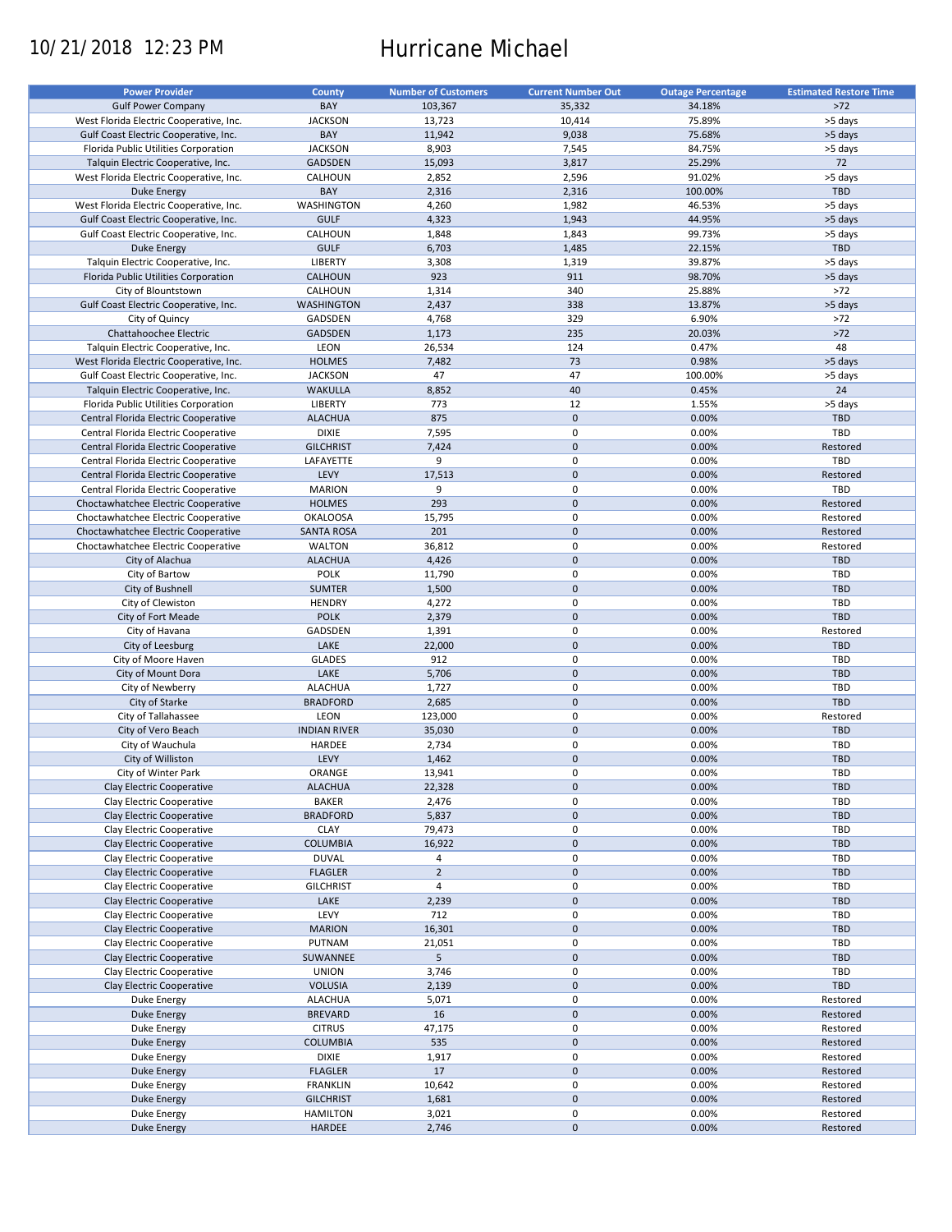# 10/21/2018 12:23 PM Hurricane Michael

| <b>Power Provider</b>                   | County              | <b>Number of Customers</b> | <b>Current Number Out</b> | <b>Outage Percentage</b> | <b>Estimated Restore Time</b> |
|-----------------------------------------|---------------------|----------------------------|---------------------------|--------------------------|-------------------------------|
|                                         |                     |                            |                           |                          |                               |
| <b>Gulf Power Company</b>               | BAY                 | 103,367                    | 35,332                    | 34.18%                   | $>72$                         |
| West Florida Electric Cooperative, Inc. | <b>JACKSON</b>      | 13,723                     | 10,414                    | 75.89%                   | >5 days                       |
| Gulf Coast Electric Cooperative, Inc.   | BAY                 | 11,942                     | 9,038                     | 75.68%                   | >5 days                       |
| Florida Public Utilities Corporation    | <b>JACKSON</b>      | 8,903                      | 7,545                     | 84.75%                   | >5 days                       |
| Talquin Electric Cooperative, Inc.      | <b>GADSDEN</b>      | 15,093                     | 3,817                     | 25.29%                   | 72                            |
| West Florida Electric Cooperative, Inc. | CALHOUN             | 2,852                      | 2,596                     | 91.02%                   | >5 days                       |
| Duke Energy                             | BAY                 | 2,316                      | 2,316                     | 100.00%                  | TBD                           |
|                                         |                     |                            |                           |                          |                               |
| West Florida Electric Cooperative, Inc. | WASHINGTON          | 4,260                      | 1,982                     | 46.53%                   | >5 days                       |
| Gulf Coast Electric Cooperative, Inc.   | <b>GULF</b>         | 4,323                      | 1,943                     | 44.95%                   | >5 days                       |
| Gulf Coast Electric Cooperative, Inc.   | CALHOUN             | 1,848                      | 1,843                     | 99.73%                   | >5 days                       |
| Duke Energy                             | <b>GULF</b>         | 6,703                      | 1,485                     | 22.15%                   | <b>TBD</b>                    |
| Talquin Electric Cooperative, Inc.      | <b>LIBERTY</b>      | 3,308                      | 1,319                     | 39.87%                   | >5 days                       |
| Florida Public Utilities Corporation    | CALHOUN             | 923                        | 911                       | 98.70%                   | >5 days                       |
| City of Blountstown                     | CALHOUN             | 1,314                      | 340                       | 25.88%                   | $>72$                         |
|                                         |                     |                            |                           |                          |                               |
| Gulf Coast Electric Cooperative, Inc.   | <b>WASHINGTON</b>   | 2,437                      | 338                       | 13.87%                   | >5 days                       |
| City of Quincy                          | GADSDEN             | 4,768                      | 329                       | 6.90%                    | $>72$                         |
| Chattahoochee Electric                  | <b>GADSDEN</b>      | 1,173                      | 235                       | 20.03%                   | $>72$                         |
| Talquin Electric Cooperative, Inc.      | LEON                | 26,534                     | 124                       | 0.47%                    | 48                            |
| West Florida Electric Cooperative, Inc. | <b>HOLMES</b>       | 7,482                      | 73                        | 0.98%                    | >5 days                       |
| Gulf Coast Electric Cooperative, Inc.   | <b>JACKSON</b>      | 47                         | 47                        | 100.00%                  | >5 days                       |
| Talquin Electric Cooperative, Inc.      | <b>WAKULLA</b>      | 8,852                      | 40                        | 0.45%                    | 24                            |
|                                         |                     |                            |                           |                          |                               |
| Florida Public Utilities Corporation    | <b>LIBERTY</b>      | 773                        | 12                        | 1.55%                    | >5 days                       |
| Central Florida Electric Cooperative    | <b>ALACHUA</b>      | 875                        | $\mathbf 0$               | 0.00%                    | <b>TBD</b>                    |
| Central Florida Electric Cooperative    | <b>DIXIE</b>        | 7,595                      | $\pmb{0}$                 | 0.00%                    | <b>TBD</b>                    |
| Central Florida Electric Cooperative    | <b>GILCHRIST</b>    | 7,424                      | $\mathbf 0$               | 0.00%                    | Restored                      |
| Central Florida Electric Cooperative    | LAFAYETTE           | 9                          | $\pmb{0}$                 | 0.00%                    | TBD                           |
| Central Florida Electric Cooperative    | LEVY                | 17,513                     | $\mathbf 0$               | 0.00%                    | Restored                      |
| Central Florida Electric Cooperative    | <b>MARION</b>       | 9                          | $\pmb{0}$                 | 0.00%                    | TBD                           |
|                                         |                     |                            |                           |                          |                               |
| Choctawhatchee Electric Cooperative     | <b>HOLMES</b>       | 293                        | $\mathbf 0$               | 0.00%                    | Restored                      |
| Choctawhatchee Electric Cooperative     | <b>OKALOOSA</b>     | 15,795                     | $\pmb{0}$                 | 0.00%                    | Restored                      |
| Choctawhatchee Electric Cooperative     | <b>SANTA ROSA</b>   | 201                        | $\mathbf 0$               | 0.00%                    | Restored                      |
| Choctawhatchee Electric Cooperative     | <b>WALTON</b>       | 36,812                     | $\pmb{0}$                 | 0.00%                    | Restored                      |
| City of Alachua                         | <b>ALACHUA</b>      | 4,426                      | $\mathbf 0$               | 0.00%                    | <b>TBD</b>                    |
| City of Bartow                          | <b>POLK</b>         | 11,790                     | 0                         | 0.00%                    | TBD                           |
| City of Bushnell                        | <b>SUMTER</b>       | 1,500                      | $\mathbf 0$               | 0.00%                    | <b>TBD</b>                    |
|                                         |                     |                            |                           |                          |                               |
| City of Clewiston                       | <b>HENDRY</b>       | 4,272                      | 0                         | 0.00%                    | <b>TBD</b>                    |
| City of Fort Meade                      | <b>POLK</b>         | 2,379                      | $\mathbf 0$               | 0.00%                    | TBD                           |
| City of Havana                          | GADSDEN             | 1,391                      | $\pmb{0}$                 | 0.00%                    | Restored                      |
| City of Leesburg                        | LAKE                | 22,000                     | $\mathbf 0$               | 0.00%                    | <b>TBD</b>                    |
| City of Moore Haven                     | <b>GLADES</b>       | 912                        | 0                         | 0.00%                    | <b>TBD</b>                    |
| City of Mount Dora                      | LAKE                | 5,706                      | $\mathbf 0$               | 0.00%                    | <b>TBD</b>                    |
| City of Newberry                        | <b>ALACHUA</b>      | 1,727                      | $\pmb{0}$                 | 0.00%                    | TBD                           |
| City of Starke                          | <b>BRADFORD</b>     | 2,685                      | $\mathbf 0$               | 0.00%                    | TBD                           |
|                                         |                     |                            |                           |                          |                               |
| City of Tallahassee                     | LEON                | 123,000                    | $\pmb{0}$                 | 0.00%                    | Restored                      |
| City of Vero Beach                      | <b>INDIAN RIVER</b> | 35,030                     | $\mathbf 0$               | 0.00%                    | <b>TBD</b>                    |
| City of Wauchula                        | HARDEE              | 2,734                      | $\pmb{0}$                 | 0.00%                    | <b>TBD</b>                    |
| City of Williston                       | LEVY                | 1,462                      | $\pmb{0}$                 | 0.00%                    | <b>TBD</b>                    |
| City of Winter Park                     | ORANGE              | 13,941                     | $\mathbf 0$               | 0.00%                    | TBD                           |
| Clay Electric Cooperative               | <b>ALACHUA</b>      | 22,328                     | $\mathsf{O}\xspace$       | 0.00%                    | <b>TBD</b>                    |
|                                         |                     |                            |                           |                          |                               |
| Clay Electric Cooperative               | <b>BAKER</b>        | 2,476                      | 0                         | 0.00%                    | TBD                           |
| Clay Electric Cooperative               | <b>BRADFORD</b>     | 5,837                      | $\mathsf{O}\xspace$       | 0.00%                    | <b>TBD</b>                    |
| Clay Electric Cooperative               | <b>CLAY</b>         | 79,473                     | 0                         | 0.00%                    | TBD                           |
| Clay Electric Cooperative               | <b>COLUMBIA</b>     | 16,922                     | $\mathsf{O}\xspace$       | 0.00%                    | TBD                           |
| Clay Electric Cooperative               | <b>DUVAL</b>        | 4                          | 0                         | 0.00%                    | <b>TBD</b>                    |
| Clay Electric Cooperative               | <b>FLAGLER</b>      | $\overline{2}$             | $\mathsf{O}\xspace$       | 0.00%                    | <b>TBD</b>                    |
| Clay Electric Cooperative               | <b>GILCHRIST</b>    | $\overline{4}$             | 0                         | 0.00%                    | <b>TBD</b>                    |
| Clay Electric Cooperative               |                     |                            |                           |                          |                               |
|                                         | LAKE                | 2,239                      | $\mathsf{O}\xspace$       | 0.00%                    | <b>TBD</b>                    |
| Clay Electric Cooperative               | LEVY                | 712                        | 0                         | 0.00%                    | <b>TBD</b>                    |
| Clay Electric Cooperative               | <b>MARION</b>       | 16,301                     | $\pmb{0}$                 | 0.00%                    | <b>TBD</b>                    |
| Clay Electric Cooperative               | PUTNAM              | 21,051                     | 0                         | 0.00%                    | TBD                           |
| Clay Electric Cooperative               | SUWANNEE            | 5                          | $\pmb{0}$                 | 0.00%                    | TBD                           |
| Clay Electric Cooperative               | <b>UNION</b>        | 3,746                      | 0                         | 0.00%                    | TBD                           |
| Clay Electric Cooperative               | <b>VOLUSIA</b>      | 2,139                      | $\pmb{0}$                 | 0.00%                    | TBD                           |
|                                         |                     |                            |                           |                          |                               |
| Duke Energy                             | <b>ALACHUA</b>      | 5,071                      | 0                         | 0.00%                    | Restored                      |
| Duke Energy                             | <b>BREVARD</b>      | 16                         | $\pmb{0}$                 | 0.00%                    | Restored                      |
| Duke Energy                             | <b>CITRUS</b>       | 47,175                     | 0                         | 0.00%                    | Restored                      |
| Duke Energy                             | <b>COLUMBIA</b>     | 535                        | $\pmb{0}$                 | 0.00%                    | Restored                      |
| Duke Energy                             | <b>DIXIE</b>        | 1,917                      | $\pmb{0}$                 | 0.00%                    | Restored                      |
| <b>Duke Energy</b>                      | <b>FLAGLER</b>      | 17                         | $\pmb{0}$                 | 0.00%                    | Restored                      |
|                                         | <b>FRANKLIN</b>     | 10,642                     | $\pmb{0}$                 | 0.00%                    | Restored                      |
| Duke Energy                             |                     |                            |                           |                          |                               |
| <b>Duke Energy</b>                      | <b>GILCHRIST</b>    | 1,681                      | $\pmb{0}$                 | 0.00%                    | Restored                      |
| Duke Energy                             | <b>HAMILTON</b>     | 3,021                      | 0                         | 0.00%                    | Restored                      |
| Duke Energy                             | HARDEE              | 2,746                      | $\pmb{0}$                 | 0.00%                    | Restored                      |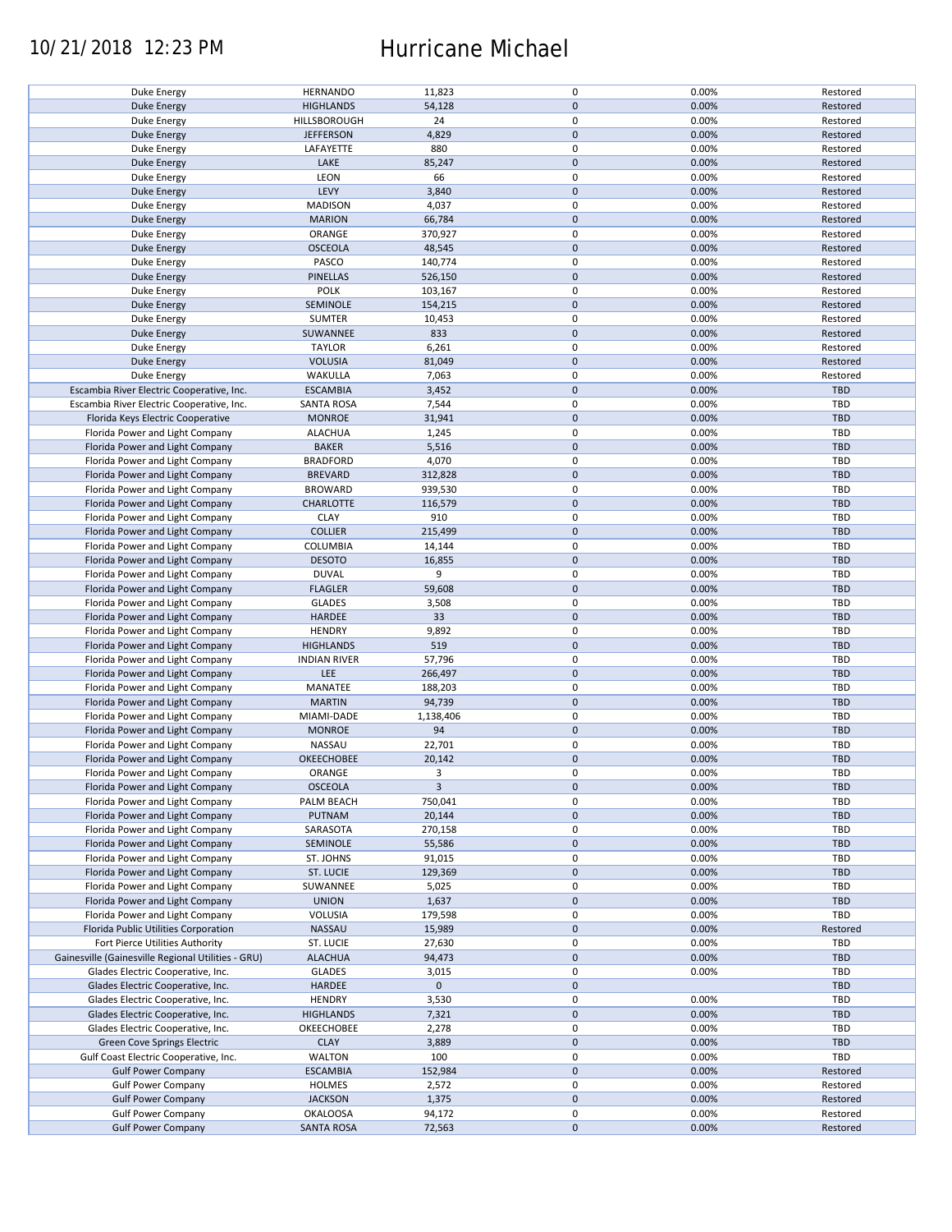### 10/21/2018 12:23 PM Hurricane Michael

| Duke Energy                                            | <b>HERNANDO</b>                      | 11,823           | 0                          | 0.00%          | Restored             |
|--------------------------------------------------------|--------------------------------------|------------------|----------------------------|----------------|----------------------|
| <b>Duke Energy</b>                                     | <b>HIGHLANDS</b>                     | 54,128           | $\mathbf 0$                | 0.00%          | Restored             |
| Duke Energy                                            | HILLSBOROUGH                         | 24               | $\mathbf 0$                | 0.00%          | Restored             |
|                                                        | <b>JEFFERSON</b>                     | 4,829            | $\mathbf 0$                | 0.00%          |                      |
| <b>Duke Energy</b>                                     |                                      |                  |                            |                | Restored             |
| Duke Energy                                            | LAFAYETTE                            | 880              | 0                          | 0.00%          | Restored             |
| Duke Energy                                            | LAKE                                 | 85,247           | $\mathbf 0$                | 0.00%          | Restored             |
| Duke Energy                                            | LEON                                 | 66               | 0                          | 0.00%          | Restored             |
|                                                        |                                      |                  |                            |                |                      |
| Duke Energy                                            | LEVY                                 | 3,840            | $\mathbf 0$                | 0.00%          | Restored             |
| Duke Energy                                            | <b>MADISON</b>                       | 4,037            | 0                          | 0.00%          | Restored             |
| <b>Duke Energy</b>                                     | <b>MARION</b>                        | 66,784           | $\mathbf 0$                | 0.00%          | Restored             |
|                                                        |                                      | 370,927          | $\mathbf 0$                |                |                      |
| Duke Energy                                            | ORANGE                               |                  |                            | 0.00%          | Restored             |
| Duke Energy                                            | <b>OSCEOLA</b>                       | 48,545           | $\mathbf 0$                | 0.00%          | Restored             |
| Duke Energy                                            | PASCO                                | 140,774          | 0                          | 0.00%          | Restored             |
| <b>Duke Energy</b>                                     | <b>PINELLAS</b>                      | 526,150          | $\mathbf 0$                | 0.00%          | Restored             |
|                                                        |                                      |                  |                            |                |                      |
| Duke Energy                                            | <b>POLK</b>                          | 103,167          | 0                          | 0.00%          | Restored             |
| <b>Duke Energy</b>                                     | SEMINOLE                             | 154,215          | $\mathbf 0$                | 0.00%          | Restored             |
| Duke Energy                                            | SUMTER                               | 10,453           | 0                          | 0.00%          | Restored             |
|                                                        |                                      |                  | $\pmb{0}$                  |                |                      |
| <b>Duke Energy</b>                                     | SUWANNEE                             | 833              |                            | 0.00%          | Restored             |
| Duke Energy                                            | <b>TAYLOR</b>                        | 6,261            | $\pmb{0}$                  | 0.00%          | Restored             |
| <b>Duke Energy</b>                                     | <b>VOLUSIA</b>                       | 81,049           | $\pmb{0}$                  | 0.00%          | Restored             |
| <b>Duke Energy</b>                                     | WAKULLA                              | 7,063            | $\pmb{0}$                  | 0.00%          | Restored             |
|                                                        |                                      |                  |                            |                |                      |
| Escambia River Electric Cooperative, Inc.              | <b>ESCAMBIA</b>                      | 3,452            | $\mathbf 0$                | 0.00%          | TBD                  |
| Escambia River Electric Cooperative, Inc.              | <b>SANTA ROSA</b>                    | 7,544            | $\pmb{0}$                  | 0.00%          | <b>TBD</b>           |
| Florida Keys Electric Cooperative                      | <b>MONROE</b>                        | 31,941           | $\mathbf 0$                | 0.00%          | <b>TBD</b>           |
|                                                        |                                      |                  |                            |                |                      |
| Florida Power and Light Company                        | <b>ALACHUA</b>                       | 1,245            | $\mathbf 0$                | 0.00%          | <b>TBD</b>           |
| Florida Power and Light Company                        | <b>BAKER</b>                         | 5,516            | $\mathbf 0$                | 0.00%          | <b>TBD</b>           |
| Florida Power and Light Company                        | <b>BRADFORD</b>                      | 4,070            | $\mathbf 0$                | 0.00%          | <b>TBD</b>           |
|                                                        |                                      |                  |                            |                |                      |
| Florida Power and Light Company                        | <b>BREVARD</b>                       | 312,828          | $\mathbf 0$                | 0.00%          | <b>TBD</b>           |
| Florida Power and Light Company                        | <b>BROWARD</b>                       | 939,530          | 0                          | 0.00%          | TBD                  |
| Florida Power and Light Company                        | <b>CHARLOTTE</b>                     | 116,579          | $\pmb{0}$                  | 0.00%          | <b>TBD</b>           |
| Florida Power and Light Company                        | <b>CLAY</b>                          | 910              | 0                          | 0.00%          | TBD                  |
|                                                        |                                      |                  |                            |                |                      |
| Florida Power and Light Company                        | <b>COLLIER</b>                       | 215,499          | $\pmb{0}$                  | 0.00%          | <b>TBD</b>           |
| Florida Power and Light Company                        | COLUMBIA                             | 14,144           | $\mathbf 0$                | 0.00%          | TBD                  |
| Florida Power and Light Company                        | <b>DESOTO</b>                        | 16,855           | $\pmb{0}$                  | 0.00%          | <b>TBD</b>           |
|                                                        |                                      |                  |                            |                |                      |
| Florida Power and Light Company                        | <b>DUVAL</b>                         | 9                | $\pmb{0}$                  | 0.00%          | TBD                  |
| Florida Power and Light Company                        | <b>FLAGLER</b>                       | 59,608           | $\mathbf 0$                | 0.00%          | <b>TBD</b>           |
| Florida Power and Light Company                        | <b>GLADES</b>                        | 3,508            | 0                          | 0.00%          | TBD                  |
|                                                        |                                      |                  | $\mathbf 0$                |                |                      |
| Florida Power and Light Company                        | HARDEE                               | 33               |                            | 0.00%          | <b>TBD</b>           |
| Florida Power and Light Company                        | <b>HENDRY</b>                        | 9,892            | $\pmb{0}$                  | 0.00%          | TBD                  |
| Florida Power and Light Company                        | <b>HIGHLANDS</b>                     | 519              | $\pmb{0}$                  | 0.00%          | <b>TBD</b>           |
| Florida Power and Light Company                        |                                      | 57,796           | $\pmb{0}$                  | 0.00%          | TBD                  |
|                                                        | <b>INDIAN RIVER</b>                  |                  |                            |                |                      |
| Florida Power and Light Company                        | LEE                                  | 266,497          | $\mathbf 0$                | 0.00%          | <b>TBD</b>           |
| Florida Power and Light Company                        | MANATEE                              | 188,203          | $\pmb{0}$                  | 0.00%          | <b>TBD</b>           |
| Florida Power and Light Company                        | <b>MARTIN</b>                        | 94,739           | $\mathbf 0$                | 0.00%          | <b>TBD</b>           |
|                                                        |                                      |                  |                            |                |                      |
| Florida Power and Light Company                        | MIAMI-DADE                           | 1,138,406        | 0                          | 0.00%          | TBD                  |
| Florida Power and Light Company                        | <b>MONROE</b>                        | 94               | $\mathbf 0$                | 0.00%          | <b>TBD</b>           |
| Florida Power and Light Company                        | NASSAU                               | 22,701           | $\pmb{0}$                  | 0.00%          | TBD                  |
|                                                        |                                      |                  |                            |                |                      |
| Florida Power and Light Company                        | OKEECHOBEE                           | 20,142           | $\mathbf 0$                | 0.00%          | <b>TBD</b>           |
| Florida Power and Light Company                        | ORANGE                               | 3                | $\mathbf 0$                | 0.00%          | <b>TBD</b>           |
| Florida Power and Light Company                        | <b>OSCEOLA</b>                       | 3                | $\pmb{0}$                  | 0.00%          | <b>TBD</b>           |
|                                                        |                                      |                  |                            |                |                      |
| Florida Power and Light Company                        | PALM BEACH                           | 750,041          | 0                          | 0.00%          | TBD                  |
| Florida Power and Light Company                        | PUTNAM                               | 20,144           | $\pmb{0}$                  | 0.00%          | <b>TBD</b>           |
| Florida Power and Light Company                        | SARASOTA                             | 270,158          | 0                          | 0.00%          | TBD                  |
|                                                        |                                      |                  |                            |                |                      |
| Florida Power and Light Company                        | SEMINOLE                             | 55,586           | $\mathbf 0$                | 0.00%          | <b>TBD</b>           |
| Florida Power and Light Company                        | ST. JOHNS                            | 91,015           | 0                          | 0.00%          | TBD                  |
| Florida Power and Light Company                        | ST. LUCIE                            | 129,369          | $\mathbf 0$                | 0.00%          | <b>TBD</b>           |
| Florida Power and Light Company                        | SUWANNEE                             | 5,025            | 0                          | 0.00%          | TBD                  |
|                                                        |                                      |                  |                            |                |                      |
| Florida Power and Light Company                        | <b>UNION</b>                         | 1,637            | $\pmb{0}$                  | 0.00%          | <b>TBD</b>           |
| Florida Power and Light Company                        | VOLUSIA                              | 179,598          | 0                          | 0.00%          | TBD                  |
| Florida Public Utilities Corporation                   | NASSAU                               | 15,989           | $\mathbf 0$                | 0.00%          | Restored             |
|                                                        |                                      |                  |                            |                |                      |
| Fort Pierce Utilities Authority                        | ST. LUCIE                            | 27,630           | 0                          | 0.00%          | TBD                  |
| Gainesville (Gainesville Regional Utilities - GRU)     | <b>ALACHUA</b>                       | 94,473           | 0                          | 0.00%          | <b>TBD</b>           |
| Glades Electric Cooperative, Inc.                      | <b>GLADES</b>                        | 3,015            | 0                          | 0.00%          | TBD                  |
|                                                        |                                      |                  |                            |                |                      |
| Glades Electric Cooperative, Inc.                      | <b>HARDEE</b>                        | $\mathbf 0$      | $\pmb{0}$                  |                | <b>TBD</b>           |
| Glades Electric Cooperative, Inc.                      | <b>HENDRY</b>                        | 3,530            | 0                          | 0.00%          | TBD                  |
| Glades Electric Cooperative, Inc.                      | <b>HIGHLANDS</b>                     | 7,321            | $\pmb{0}$                  | 0.00%          | <b>TBD</b>           |
|                                                        |                                      |                  | 0                          | 0.00%          | TBD                  |
| Glades Electric Cooperative, Inc.                      | OKEECHOBEE                           | 2,278            |                            |                |                      |
| Green Cove Springs Electric                            | <b>CLAY</b>                          | 3,889            | $\pmb{0}$                  | 0.00%          | TBD                  |
| Gulf Coast Electric Cooperative, Inc.                  | <b>WALTON</b>                        | 100              | $\pmb{0}$                  | 0.00%          | TBD                  |
| <b>Gulf Power Company</b>                              | <b>ESCAMBIA</b>                      | 152,984          | $\pmb{0}$                  | 0.00%          | Restored             |
|                                                        |                                      |                  |                            |                |                      |
| <b>Gulf Power Company</b>                              | HOLMES                               | 2,572            | 0                          | 0.00%          | Restored             |
|                                                        |                                      |                  |                            |                |                      |
| <b>Gulf Power Company</b>                              | <b>JACKSON</b>                       | 1,375            | $\mathbf 0$                | 0.00%          | Restored             |
|                                                        |                                      |                  |                            |                |                      |
| <b>Gulf Power Company</b><br><b>Gulf Power Company</b> | <b>OKALOOSA</b><br><b>SANTA ROSA</b> | 94,172<br>72,563 | $\mathbf 0$<br>$\mathbf 0$ | 0.00%<br>0.00% | Restored<br>Restored |